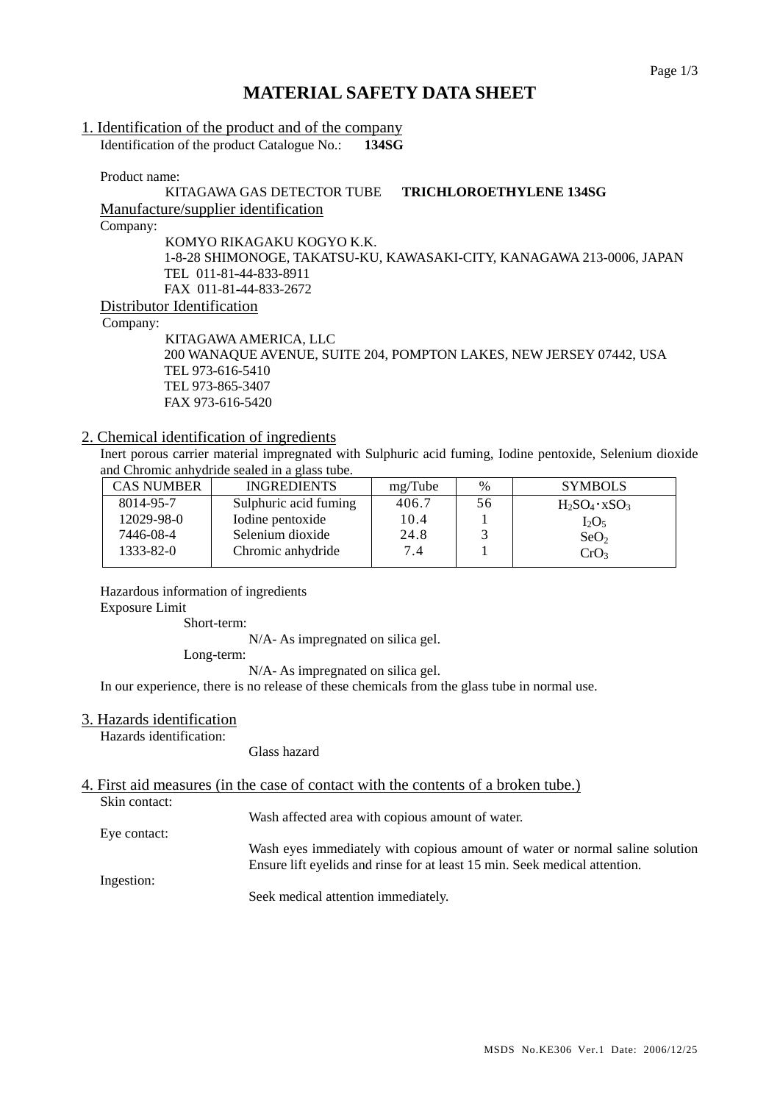## **MATERIAL SAFETY DATA SHEET**

# 1. Identification of the product and of the company

Identification of the product Catalogue No.: **134SG**

Product name:

## KITAGAWA GAS DETECTOR TUBE **TRICHLOROETHYLENE 134SG** Manufacture/supplier identification

Company:

KOMYO RIKAGAKU KOGYO K.K. 1-8-28 SHIMONOGE, TAKATSU-KU, KAWASAKI-CITY, KANAGAWA 213-0006, JAPAN TEL 011-81-44-833-8911 FAX 011-81-44-833-2672 Distributor Identification

Company:

KITAGAWA AMERICA, LLC 200 WANAQUE AVENUE, SUITE 204, POMPTON LAKES, NEW JERSEY 07442, USA TEL 973-616-5410 TEL 973-865-3407 FAX 973-616-5420

## 2. Chemical identification of ingredients

Inert porous carrier material impregnated with Sulphuric acid fuming, Iodine pentoxide, Selenium dioxide and Chromic anhydride sealed in a glass tube.

| <b>CAS NUMBER</b> | <b>INGREDIENTS</b>    | mg/Tube | $\%$ | <b>SYMBOLS</b>        |
|-------------------|-----------------------|---------|------|-----------------------|
| 8014-95-7         | Sulphuric acid fuming | 406.7   | 56   | $H_2SO_4 \cdot xSO_3$ |
| 12029-98-0        | Iodine pentoxide      | 10.4    |      | $I_2O_5$              |
| 7446-08-4         | Selenium dioxide      | 24.8    |      | SeO <sub>2</sub>      |
| $1333 - 82 - 0$   | Chromic anhydride     | 7.4     |      | CrO <sub>3</sub>      |
|                   |                       |         |      |                       |

## Hazardous information of ingredients

Exposure Limit

Short-term:

N/A- As impregnated on silica gel.

Long-term:

N/A- As impregnated on silica gel.

In our experience, there is no release of these chemicals from the glass tube in normal use.

## 3. Hazards identification

Hazards identification:

Glass hazard

## 4. First aid measures (in the case of contact with the contents of a broken tube.)

Skin contact:

Wash affected area with copious amount of water.

Eye contact: Wash eyes immediately with copious amount of water or normal saline solution Ensure lift eyelids and rinse for at least 15 min. Seek medical attention.

Ingestion:

Seek medical attention immediately.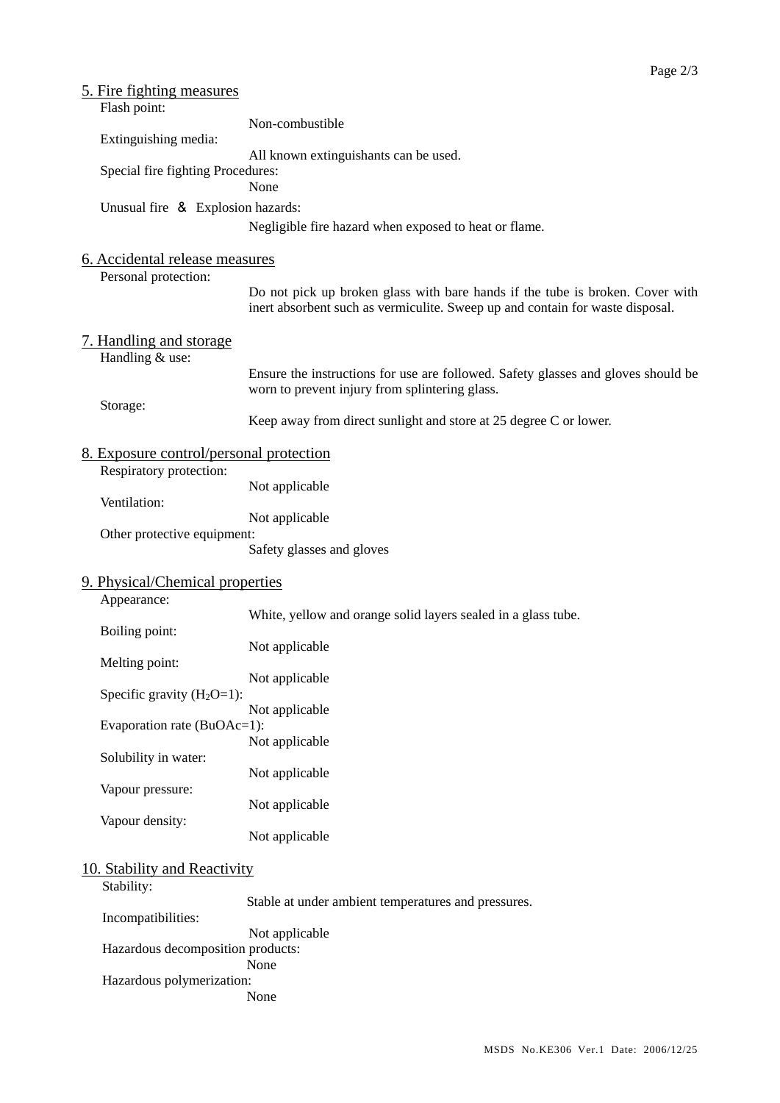| 5. Fire fighting measures                      |                                                                                                                                                                |
|------------------------------------------------|----------------------------------------------------------------------------------------------------------------------------------------------------------------|
| Flash point:                                   |                                                                                                                                                                |
|                                                | Non-combustible                                                                                                                                                |
| Extinguishing media:                           | All known extinguishants can be used.                                                                                                                          |
| Special fire fighting Procedures:              |                                                                                                                                                                |
|                                                | None                                                                                                                                                           |
| Unusual fire & Explosion hazards:              |                                                                                                                                                                |
|                                                | Negligible fire hazard when exposed to heat or flame.                                                                                                          |
|                                                |                                                                                                                                                                |
| 6. Accidental release measures                 |                                                                                                                                                                |
| Personal protection:                           |                                                                                                                                                                |
|                                                | Do not pick up broken glass with bare hands if the tube is broken. Cover with<br>inert absorbent such as vermiculite. Sweep up and contain for waste disposal. |
|                                                |                                                                                                                                                                |
| 7. Handling and storage                        |                                                                                                                                                                |
| Handling & use:                                |                                                                                                                                                                |
|                                                | Ensure the instructions for use are followed. Safety glasses and gloves should be                                                                              |
| Storage:                                       | worn to prevent injury from splintering glass.                                                                                                                 |
|                                                | Keep away from direct sunlight and store at 25 degree C or lower.                                                                                              |
|                                                |                                                                                                                                                                |
| 8. Exposure control/personal protection        |                                                                                                                                                                |
| Respiratory protection:                        |                                                                                                                                                                |
| Ventilation:                                   | Not applicable                                                                                                                                                 |
|                                                | Not applicable                                                                                                                                                 |
| Other protective equipment:                    |                                                                                                                                                                |
|                                                | Safety glasses and gloves                                                                                                                                      |
|                                                |                                                                                                                                                                |
| 9. Physical/Chemical properties<br>Appearance: |                                                                                                                                                                |
|                                                | White, yellow and orange solid layers sealed in a glass tube.                                                                                                  |
| Boiling point:                                 |                                                                                                                                                                |
|                                                | Not applicable                                                                                                                                                 |
| Melting point:                                 | Not applicable                                                                                                                                                 |
| Specific gravity $(H_2O=1)$ :                  |                                                                                                                                                                |
|                                                | Not applicable                                                                                                                                                 |
| Evaporation rate (BuOAc=1):                    |                                                                                                                                                                |
|                                                | Not applicable                                                                                                                                                 |
| Solubility in water:                           | Not applicable                                                                                                                                                 |
| Vapour pressure:                               |                                                                                                                                                                |
|                                                | Not applicable                                                                                                                                                 |
| Vapour density:                                |                                                                                                                                                                |
|                                                | Not applicable                                                                                                                                                 |
| 10. Stability and Reactivity                   |                                                                                                                                                                |
| Stability:                                     |                                                                                                                                                                |
|                                                | Stable at under ambient temperatures and pressures.                                                                                                            |
| Incompatibilities:                             |                                                                                                                                                                |
|                                                | Not applicable                                                                                                                                                 |
| Hazardous decomposition products:              | None                                                                                                                                                           |
| Hazardous polymerization:                      |                                                                                                                                                                |
|                                                | None                                                                                                                                                           |